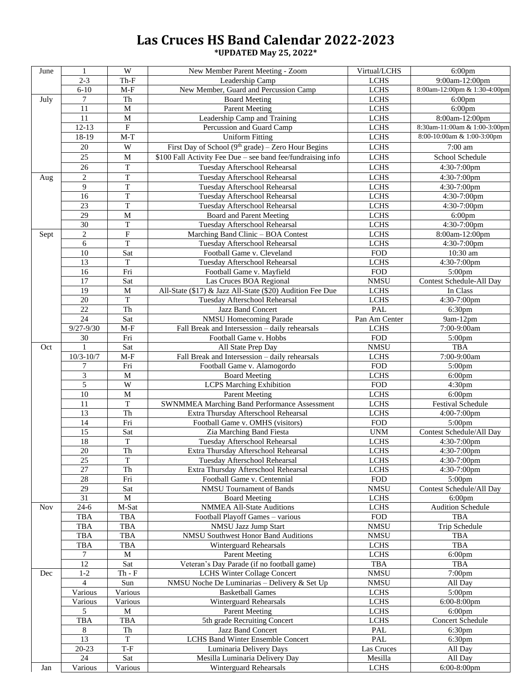## **Las Cruces HS Band Calendar 2022-2023**

**\*UPDATED May 25, 2022\***

| June       | 1                           | W              | New Member Parent Meeting - Zoom                            | Virtual/LCHS  | $6:00$ pm                    |
|------------|-----------------------------|----------------|-------------------------------------------------------------|---------------|------------------------------|
|            | $2 - 3$                     | $Th-F$         | Leadership Camp                                             | <b>LCHS</b>   | 9:00am-12:00pm               |
|            | $6 - 10$                    | $M-F$          | New Member, Guard and Percussion Camp                       | <b>LCHS</b>   | 8:00am-12:00pm & 1:30-4:00pm |
| July       | $\tau$                      | Th             | <b>Board Meeting</b>                                        | <b>LCHS</b>   | 6:00 <sub>pm</sub>           |
|            | 11                          | M              | <b>Parent Meeting</b>                                       | <b>LCHS</b>   | $6:00$ pm                    |
|            | 11                          | $\overline{M}$ | Leadership Camp and Training                                | <b>LCHS</b>   | 8:00am-12:00pm               |
|            | $12-13$                     | ${\bf F}$      | Percussion and Guard Camp                                   | <b>LCHS</b>   | 8:30am-11:00am & 1:00-3:00pm |
|            | 18-19                       | $M-T$          | <b>Uniform Fitting</b>                                      | <b>LCHS</b>   | 8:00-10:00am & 1:00-3:00pm   |
|            | 20                          | W              | First Day of School ( $9th$ grade) – Zero Hour Begins       | $_{\rm LCHS}$ | $\overline{7:00}$ am         |
|            | 25                          | M              | \$100 Fall Activity Fee Due – see band fee/fundraising info | $_{\rm LCHS}$ | School Schedule              |
|            |                             |                |                                                             |               |                              |
|            | 26                          | T              | Tuesday Afterschool Rehearsal                               | <b>LCHS</b>   | 4:30-7:00pm                  |
| Aug        | $\sqrt{2}$                  | $\mathbf T$    | Tuesday Afterschool Rehearsal                               | <b>LCHS</b>   | 4:30-7:00pm                  |
|            | 9                           | $\mathbf T$    | Tuesday Afterschool Rehearsal                               | $_{\rm LCHS}$ | 4:30-7:00pm                  |
|            | $\overline{16}$             | T              | Tuesday Afterschool Rehearsal                               | <b>LCHS</b>   | 4:30-7:00pm                  |
|            | 23                          | T              | Tuesday Afterschool Rehearsal                               | <b>LCHS</b>   | 4:30-7:00pm                  |
|            | 29                          | M              | Board and Parent Meeting                                    | <b>LCHS</b>   | $6:00$ pm                    |
|            | 30                          | $\mathbf T$    | Tuesday Afterschool Rehearsal                               | $_{\rm LCHS}$ | 4:30-7:00pm                  |
| Sept       | $\sqrt{2}$                  | ${\bf F}$      | Marching Band Clinic - BOA Contest                          | <b>LCHS</b>   | 8:00am-12:00pm               |
|            | $\sqrt{6}$                  | $\overline{T}$ | Tuesday Afterschool Rehearsal                               | <b>LCHS</b>   | 4:30-7:00pm                  |
|            | 10                          | Sat            | Football Game v. Cleveland                                  | <b>FOD</b>    | 10:30 am                     |
|            | 13                          | T              | Tuesday Afterschool Rehearsal                               | <b>LCHS</b>   | 4:30-7:00pm                  |
|            | 16                          | Fri            | Football Game v. Mayfield                                   | <b>FOD</b>    | $5:00$ pm                    |
|            | $\overline{17}$             | Sat            | Las Cruces BOA Regional                                     | <b>NMSU</b>   | Contest Schedule-All Day     |
|            | 19                          | M              | All-State (\$17) & Jazz All-State (\$20) Audition Fee Due   | <b>LCHS</b>   | In Class                     |
|            | 20                          | $\overline{T}$ | Tuesday Afterschool Rehearsal                               | <b>LCHS</b>   | 4:30-7:00pm                  |
|            | 22                          | Th             |                                                             | PAL           |                              |
|            |                             |                | Jazz Band Concert                                           |               | 6:30pm                       |
|            | 24                          | Sat            | <b>NMSU Homecoming Parade</b>                               | Pan Am Center | 9am-12pm                     |
|            | $9/27 - 9/30$               | $M-F$          | Fall Break and Intersession - daily rehearsals              | <b>LCHS</b>   | 7:00-9:00am                  |
|            | 30                          | Fri            | Football Game v. Hobbs                                      | ${\rm FOD}$   | 5:00pm                       |
| Oct        |                             | Sat            | All State Prep Day                                          | <b>NMSU</b>   | <b>TBA</b>                   |
|            | $10/3 - 10/7$               | $M-F$          | Fall Break and Intersession - daily rehearsals              | <b>LCHS</b>   | $7:00-9:00am$                |
|            | 7                           | Fri            | Football Game v. Alamogordo                                 | <b>FOD</b>    | 5:00pm                       |
|            | $\ensuremath{\mathfrak{Z}}$ | M              | <b>Board Meeting</b>                                        | <b>LCHS</b>   | $6:00$ pm                    |
|            | $\overline{5}$              | $\overline{W}$ | <b>LCPS Marching Exhibition</b>                             | <b>FOD</b>    | 4:30pm                       |
|            | 10                          | M              | <b>Parent Meeting</b>                                       | <b>LCHS</b>   | 6:00pm                       |
|            | 11                          | T              | <b>SWNMMEA Marching Band Performance Assessment</b>         | <b>LCHS</b>   | Festival Schedule            |
|            | 13                          | Th             | Extra Thursday Afterschool Rehearsal                        | <b>LCHS</b>   | 4:00-7:00pm                  |
|            | 14                          | Fri            | Football Game v. OMHS (visitors)                            | <b>FOD</b>    | 5:00pm                       |
|            | 15                          | Sat            | Zia Marching Band Fiesta                                    | <b>UNM</b>    | Contest Schedule/All Day     |
|            | 18                          | $\mathbf T$    | Tuesday Afterschool Rehearsal                               | <b>LCHS</b>   | 4:30-7:00pm                  |
|            | 20                          | Th             | Extra Thursday Afterschool Rehearsal                        | <b>LCHS</b>   | 4:30-7:00pm                  |
|            | 25                          | T              | Tuesday Afterschool Rehearsal                               | <b>LCHS</b>   | 4:30-7:00pm                  |
|            | 27                          | Th             | Extra Thursday Afterschool Rehearsal                        | <b>LCHS</b>   | 4:30-7:00pm                  |
|            |                             |                |                                                             |               |                              |
|            | $28\,$                      | Fri            | Football Game v. Centennial                                 | <b>FOD</b>    | $5:00$ pm                    |
|            | 29                          | Sat            | NMSU Tournament of Bands                                    | <b>NMSU</b>   | Contest Schedule/All Day     |
|            | 31                          | M              | <b>Board Meeting</b>                                        | <b>LCHS</b>   | $6:00$ pm                    |
| <b>Nov</b> | $24-6$                      | M-Sat          | <b>NMMEA All-State Auditions</b>                            | <b>LCHS</b>   | <b>Audition Schedule</b>     |
|            | TBA                         | <b>TBA</b>     | Football Playoff Games - various                            | <b>FOD</b>    | <b>TBA</b>                   |
|            | <b>TBA</b>                  | TBA            | NMSU Jazz Jump Start                                        | <b>NMSU</b>   | Trip Schedule                |
|            | <b>TBA</b>                  | <b>TBA</b>     | <b>NMSU Southwest Honor Band Auditions</b>                  | <b>NMSU</b>   | <b>TBA</b>                   |
|            | <b>TBA</b>                  | <b>TBA</b>     | <b>Winterguard Rehearsals</b>                               | <b>LCHS</b>   | <b>TBA</b>                   |
|            | 7                           | M              | <b>Parent Meeting</b>                                       | <b>LCHS</b>   | $6:00$ pm                    |
|            | 12                          | Sat            | Veteran's Day Parade (if no football game)                  | TBA           | <b>TBA</b>                   |
| Dec        | $1 - 2$                     | $Th - F$       | <b>LCHS Winter Collage Concert</b>                          | <b>NMSU</b>   | $7:00$ pm                    |
|            | $\overline{4}$              | Sun            | NMSU Noche De Luminarias - Delivery & Set Up                | <b>NMSU</b>   | All Day                      |
|            | Various                     | Various        | <b>Basketball Games</b>                                     | <b>LCHS</b>   | 5:00pm                       |
|            | Various                     | Various        | Winterguard Rehearsals                                      | <b>LCHS</b>   | 6:00-8:00pm                  |
|            | 5                           | M              | <b>Parent Meeting</b>                                       | <b>LCHS</b>   | $6:00$ pm                    |
|            | <b>TBA</b>                  | TBA            | 5th grade Recruiting Concert                                | <b>LCHS</b>   | Concert Schedule             |
|            | 8                           | Th             | <b>Jazz Band Concert</b>                                    | PAL           | 6:30pm                       |
|            | 13                          | T              |                                                             |               |                              |
|            |                             |                | <b>LCHS Band Winter Ensemble Concert</b>                    | <b>PAL</b>    | 6:30pm                       |
|            | $20 - 23$                   | $T-F$          | Luminaria Delivery Days                                     | Las Cruces    | All Day                      |
|            | 24                          | Sat            | Mesilla Luminaria Delivery Day                              | Mesilla       | All Day                      |
| Jan        | Various                     | Various        | Winterguard Rehearsals                                      | <b>LCHS</b>   | 6:00-8:00pm                  |